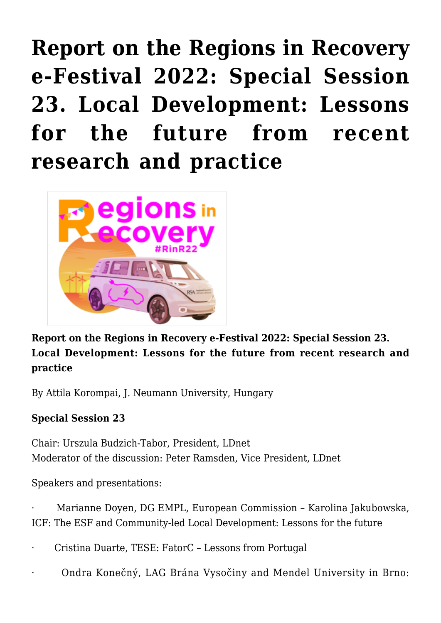**[Report on the Regions in Recovery](https://regions.regionalstudies.org/ezine/article/report-on-the-regions-in-recovery-e-festival-2022-special-session-23-local-development-lessons-for-the-future-from-recent-research-and-practice/) [e-Festival 2022: Special Session](https://regions.regionalstudies.org/ezine/article/report-on-the-regions-in-recovery-e-festival-2022-special-session-23-local-development-lessons-for-the-future-from-recent-research-and-practice/) [23. Local Development: Lessons](https://regions.regionalstudies.org/ezine/article/report-on-the-regions-in-recovery-e-festival-2022-special-session-23-local-development-lessons-for-the-future-from-recent-research-and-practice/) [for the future from recent](https://regions.regionalstudies.org/ezine/article/report-on-the-regions-in-recovery-e-festival-2022-special-session-23-local-development-lessons-for-the-future-from-recent-research-and-practice/) [research and practice](https://regions.regionalstudies.org/ezine/article/report-on-the-regions-in-recovery-e-festival-2022-special-session-23-local-development-lessons-for-the-future-from-recent-research-and-practice/)**



**Report on the Regions in Recovery e-Festival 2022: Special Session 23. Local Development: Lessons for the future from recent research and practice**

By [Attila Korompai](https://www.uni-corvinus.hu/elerhetosegek/korompai-attila_dr/), J. Neumann University, Hungary

## **Special Session 23**

Chair: Urszula Budzich-Tabor, President, LDnet Moderator of the discussion: Peter Ramsden, Vice President, LDnet

Speakers and presentations:

· Marianne Doyen, DG EMPL, European Commission – Karolina Jakubowska, ICF: The ESF and Community-led Local Development: Lessons for the future

· Cristina Duarte, TESE: FatorC – Lessons from Portugal

· Ondra Konečný, LAG Brána Vysočiny and Mendel University in Brno: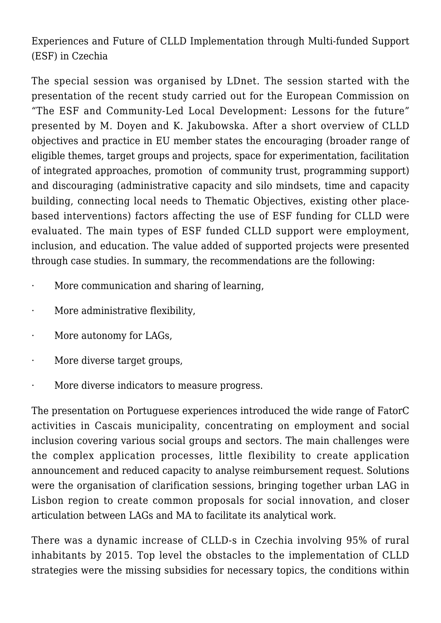Experiences and Future of CLLD Implementation through Multi-funded Support (ESF) in Czechia

The special session was organised by LDnet. The session started with the presentation of the recent study carried out for the European Commission on "The ESF and Community-Led Local Development: Lessons for the future" presented by M. Doyen and K. Jakubowska. After a short overview of CLLD objectives and practice in EU member states the encouraging (broader range of eligible themes, target groups and projects, space for experimentation, facilitation of integrated approaches, promotion of community trust, programming support) and discouraging (administrative capacity and silo mindsets, time and capacity building, connecting local needs to Thematic Objectives, existing other placebased interventions) factors affecting the use of ESF funding for CLLD were evaluated. The main types of ESF funded CLLD support were employment, inclusion, and education. The value added of supported projects were presented through case studies. In summary, the recommendations are the following:

- · More communication and sharing of learning,
- · More administrative flexibility,
- More autonomy for LAGs.
- · More diverse target groups,
- More diverse indicators to measure progress.

The presentation on Portuguese experiences introduced the wide range of FatorC activities in Cascais municipality, concentrating on employment and social inclusion covering various social groups and sectors. The main challenges were the complex application processes, little flexibility to create application announcement and reduced capacity to analyse reimbursement request. Solutions were the organisation of clarification sessions, bringing together urban LAG in Lisbon region to create common proposals for social innovation, and closer articulation between LAGs and MA to facilitate its analytical work.

There was a dynamic increase of CLLD-s in Czechia involving 95% of rural inhabitants by 2015. Top level the obstacles to the implementation of CLLD strategies were the missing subsidies for necessary topics, the conditions within